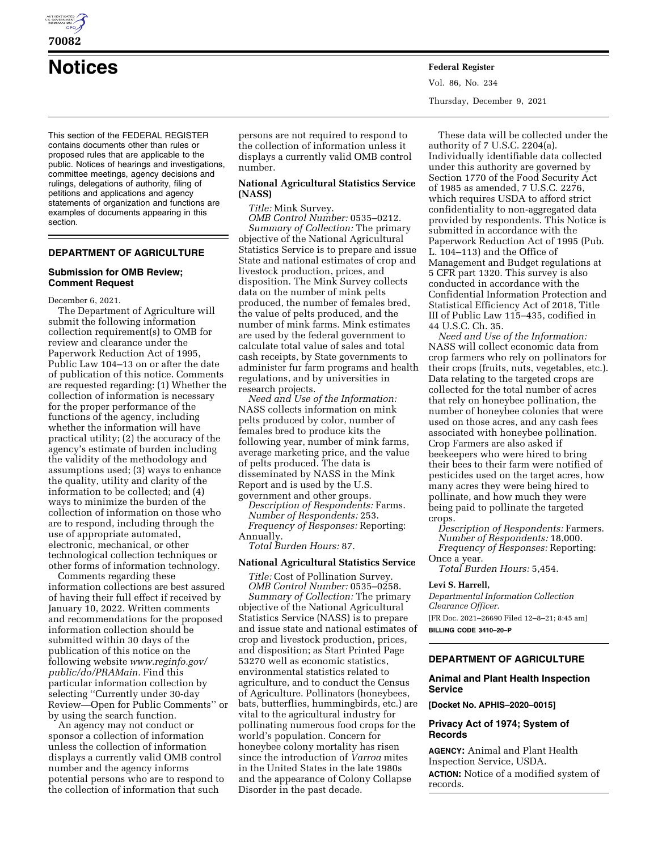

**70082** 

**Notices Federal Register**

Vol. 86, No. 234 Thursday, December 9, 2021

This section of the FEDERAL REGISTER contains documents other than rules or proposed rules that are applicable to the public. Notices of hearings and investigations, committee meetings, agency decisions and rulings, delegations of authority, filing of petitions and applications and agency statements of organization and functions are examples of documents appearing in this section.

## **DEPARTMENT OF AGRICULTURE**

## **Submission for OMB Review; Comment Request**

December 6, 2021.

The Department of Agriculture will submit the following information collection requirement(s) to OMB for review and clearance under the Paperwork Reduction Act of 1995, Public Law 104–13 on or after the date of publication of this notice. Comments are requested regarding: (1) Whether the collection of information is necessary for the proper performance of the functions of the agency, including whether the information will have practical utility; (2) the accuracy of the agency's estimate of burden including the validity of the methodology and assumptions used; (3) ways to enhance the quality, utility and clarity of the information to be collected; and (4) ways to minimize the burden of the collection of information on those who are to respond, including through the use of appropriate automated, electronic, mechanical, or other technological collection techniques or other forms of information technology.

Comments regarding these information collections are best assured of having their full effect if received by January 10, 2022. Written comments and recommendations for the proposed information collection should be submitted within 30 days of the publication of this notice on the following website *[www.reginfo.gov/](http://www.reginfo.gov/public/do/PRAMain)  [public/do/PRAMain.](http://www.reginfo.gov/public/do/PRAMain)* Find this particular information collection by selecting ''Currently under 30-day Review—Open for Public Comments'' or by using the search function.

An agency may not conduct or sponsor a collection of information unless the collection of information displays a currently valid OMB control number and the agency informs potential persons who are to respond to the collection of information that such

persons are not required to respond to the collection of information unless it displays a currently valid OMB control number.

## **National Agricultural Statistics Service (NASS)**

*Title:* Mink Survey.

*OMB Control Number:* 0535–0212. *Summary of Collection:* The primary objective of the National Agricultural Statistics Service is to prepare and issue State and national estimates of crop and livestock production, prices, and disposition. The Mink Survey collects data on the number of mink pelts produced, the number of females bred, the value of pelts produced, and the number of mink farms. Mink estimates are used by the federal government to calculate total value of sales and total cash receipts, by State governments to administer fur farm programs and health regulations, and by universities in research projects.

*Need and Use of the Information:*  NASS collects information on mink pelts produced by color, number of females bred to produce kits the following year, number of mink farms, average marketing price, and the value of pelts produced. The data is disseminated by NASS in the Mink Report and is used by the U.S. government and other groups.

*Description of Respondents:* Farms. *Number of Respondents:* 253. *Frequency of Responses:* Reporting: Annually.

*Total Burden Hours:* 87.

## **National Agricultural Statistics Service**

*Title:* Cost of Pollination Survey. *OMB Control Number:* 0535–0258. *Summary of Collection:* The primary objective of the National Agricultural Statistics Service (NASS) is to prepare and issue state and national estimates of crop and livestock production, prices, and disposition; as Start Printed Page 53270 well as economic statistics, environmental statistics related to agriculture, and to conduct the Census of Agriculture. Pollinators (honeybees, bats, butterflies, hummingbirds, etc.) are vital to the agricultural industry for pollinating numerous food crops for the world's population. Concern for honeybee colony mortality has risen since the introduction of *Varroa* mites in the United States in the late 1980s and the appearance of Colony Collapse Disorder in the past decade.

These data will be collected under the authority of 7 U.S.C. 2204(a). Individually identifiable data collected under this authority are governed by Section 1770 of the Food Security Act of 1985 as amended, 7 U.S.C. 2276, which requires USDA to afford strict confidentiality to non-aggregated data provided by respondents. This Notice is submitted in accordance with the Paperwork Reduction Act of 1995 (Pub. L. 104–113) and the Office of Management and Budget regulations at 5 CFR part 1320. This survey is also conducted in accordance with the Confidential Information Protection and Statistical Efficiency Act of 2018, Title III of Public Law 115–435, codified in 44 U.S.C. Ch. 35.

*Need and Use of the Information:*  NASS will collect economic data from crop farmers who rely on pollinators for their crops (fruits, nuts, vegetables, etc.). Data relating to the targeted crops are collected for the total number of acres that rely on honeybee pollination, the number of honeybee colonies that were used on those acres, and any cash fees associated with honeybee pollination. Crop Farmers are also asked if beekeepers who were hired to bring their bees to their farm were notified of pesticides used on the target acres, how many acres they were being hired to pollinate, and how much they were being paid to pollinate the targeted crops.

*Description of Respondents:* Farmers. *Number of Respondents:* 18,000. *Frequency of Responses:* Reporting: Once a year.

*Total Burden Hours:* 5,454.

## **Levi S. Harrell,**

*Departmental Information Collection Clearance Officer.*  [FR Doc. 2021–26690 Filed 12–8–21; 8:45 am] **BILLING CODE 3410–20–P** 

## **DEPARTMENT OF AGRICULTURE**

## **Animal and Plant Health Inspection Service**

**[Docket No. APHIS–2020–0015]** 

## **Privacy Act of 1974; System of Records**

**AGENCY:** Animal and Plant Health Inspection Service, USDA. **ACTION:** Notice of a modified system of records.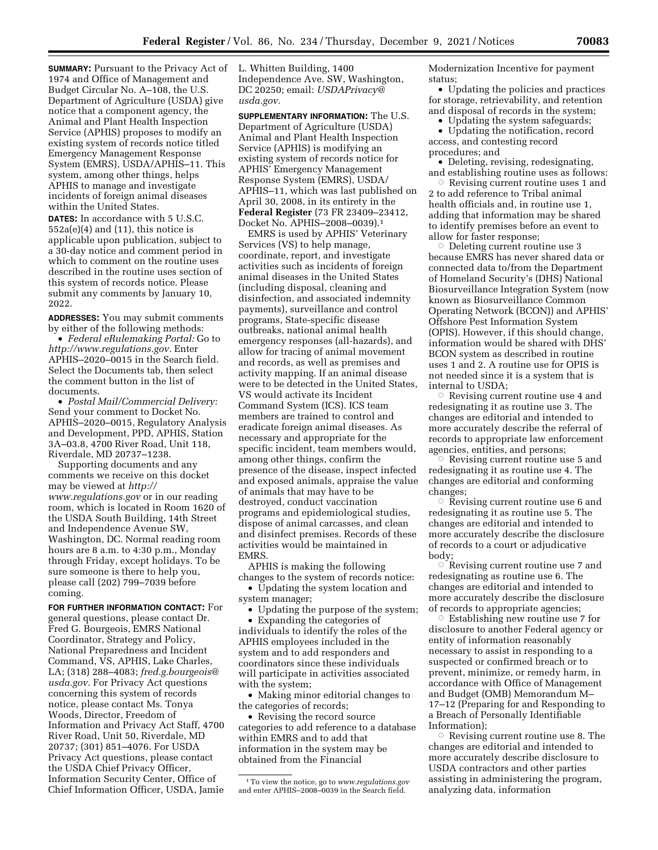**SUMMARY:** Pursuant to the Privacy Act of 1974 and Office of Management and Budget Circular No. A–108, the U.S. Department of Agriculture (USDA) give notice that a component agency, the Animal and Plant Health Inspection Service (APHIS) proposes to modify an existing system of records notice titled Emergency Management Response System (EMRS), USDA/APHIS–11. This system, among other things, helps APHIS to manage and investigate incidents of foreign animal diseases within the United States.

**DATES:** In accordance with 5 U.S.C.  $552a(e)(4)$  and  $(11)$ , this notice is applicable upon publication, subject to a 30-day notice and comment period in which to comment on the routine uses described in the routine uses section of this system of records notice. Please submit any comments by January 10, 2022.

**ADDRESSES:** You may submit comments by either of the following methods:

• *Federal eRulemaking Portal:* Go to *[http://www.regulations.gov.](http://www.regulations.gov)* Enter APHIS–2020–0015 in the Search field. Select the Documents tab, then select the comment button in the list of documents.

• *Postal Mail/Commercial Delivery:*  Send your comment to Docket No. APHIS–2020–0015, Regulatory Analysis and Development, PPD, APHIS, Station 3A–03.8, 4700 River Road, Unit 118, Riverdale, MD 20737–1238.

Supporting documents and any comments we receive on this docket may be viewed at *[http://](http://www.regulations.gov) [www.regulations.gov](http://www.regulations.gov)* or in our reading room, which is located in Room 1620 of the USDA South Building, 14th Street and Independence Avenue SW, Washington, DC. Normal reading room hours are 8 a.m. to 4:30 p.m., Monday through Friday, except holidays. To be sure someone is there to help you, please call (202) 799–7039 before coming.

**FOR FURTHER INFORMATION CONTACT:** For general questions, please contact Dr. Fred G. Bourgeois, EMRS National Coordinator, Strategy and Policy, National Preparedness and Incident Command, VS, APHIS, Lake Charles, LA; (318) 288–4083; *[fred.g.bourgeois@](mailto:fred.g.bourgeois@usda.gov) [usda.gov.](mailto:fred.g.bourgeois@usda.gov)* For Privacy Act questions concerning this system of records notice, please contact Ms. Tonya Woods, Director, Freedom of Information and Privacy Act Staff, 4700 River Road, Unit 50, Riverdale, MD 20737; (301) 851–4076. For USDA Privacy Act questions, please contact the USDA Chief Privacy Officer, Information Security Center, Office of Chief Information Officer, USDA, Jamie

L. Whitten Building, 1400 Independence Ave. SW, Washington, DC 20250; email: *[USDAPrivacy@](mailto:USDAPrivacy@usda.gov) [usda.gov.](mailto:USDAPrivacy@usda.gov)* 

**SUPPLEMENTARY INFORMATION:** The U.S. Department of Agriculture (USDA) Animal and Plant Health Inspection Service (APHIS) is modifying an existing system of records notice for APHIS' Emergency Management Response System (EMRS), USDA/ APHIS–11, which was last published on April 30, 2008, in its entirety in the **Federal Register** (73 FR 23409–23412, Docket No. APHIS–2008–0039).1

EMRS is used by APHIS' Veterinary Services (VS) to help manage, coordinate, report, and investigate activities such as incidents of foreign animal diseases in the United States (including disposal, cleaning and disinfection, and associated indemnity payments), surveillance and control programs, State-specific disease outbreaks, national animal health emergency responses (all-hazards), and allow for tracing of animal movement and records, as well as premises and activity mapping. If an animal disease were to be detected in the United States, VS would activate its Incident Command System (ICS). ICS team members are trained to control and eradicate foreign animal diseases. As necessary and appropriate for the specific incident, team members would, among other things, confirm the presence of the disease, inspect infected and exposed animals, appraise the value of animals that may have to be destroyed, conduct vaccination programs and epidemiological studies, dispose of animal carcasses, and clean and disinfect premises. Records of these activities would be maintained in EMRS.

APHIS is making the following changes to the system of records notice: • Updating the system location and

system manager; • Updating the purpose of the system;

• Expanding the categories of individuals to identify the roles of the APHIS employees included in the system and to add responders and coordinators since these individuals will participate in activities associated with the system;

• Making minor editorial changes to the categories of records;

• Revising the record source categories to add reference to a database within EMRS and to add that information in the system may be obtained from the Financial

Modernization Incentive for payment status;

• Updating the policies and practices for storage, retrievability, and retention and disposal of records in the system;

• Updating the system safeguards;

• Updating the notification, record access, and contesting record procedures; and

• Deleting, revising, redesignating, and establishing routine uses as follows:

 $\circ$  Revising current routine uses 1 and 2 to add reference to Tribal animal health officials and, in routine use 1, adding that information may be shared to identify premises before an event to allow for faster response;

 $\circ$  Deleting current routine use 3 because EMRS has never shared data or connected data to/from the Department of Homeland Security's (DHS) National Biosurveillance Integration System (now known as Biosurveillance Common Operating Network (BCON)) and APHIS' Offshore Pest Information System (OPIS). However, if this should change, information would be shared with DHS' BCON system as described in routine uses 1 and 2. A routine use for OPIS is not needed since it is a system that is internal to USDA;

 $\circ$  Revising current routine use 4 and redesignating it as routine use 3. The changes are editorial and intended to more accurately describe the referral of records to appropriate law enforcement agencies, entities, and persons;

 $\dot{\circ}$  Revising current routine use 5 and redesignating it as routine use 4. The changes are editorial and conforming changes;

 $\overline{\circ}$  Revising current routine use 6 and redesignating it as routine use 5. The changes are editorial and intended to more accurately describe the disclosure of records to a court or adjudicative body;

 $\overline{\circ}$  Revising current routine use 7 and redesignating as routine use 6. The changes are editorial and intended to more accurately describe the disclosure of records to appropriate agencies; Æ

 Establishing new routine use 7 for disclosure to another Federal agency or entity of information reasonably necessary to assist in responding to a suspected or confirmed breach or to prevent, minimize, or remedy harm, in accordance with Office of Management and Budget (OMB) Memorandum M– 17–12 (Preparing for and Responding to a Breach of Personally Identifiable Information);

 $\circ$  Revising current routine use 8. The changes are editorial and intended to more accurately describe disclosure to USDA contractors and other parties assisting in administering the program, analyzing data, information

<sup>1</sup>To view the notice, go to *[www.regulations.gov](http://www.regulations.gov)*  and enter APHIS–2008–0039 in the Search field.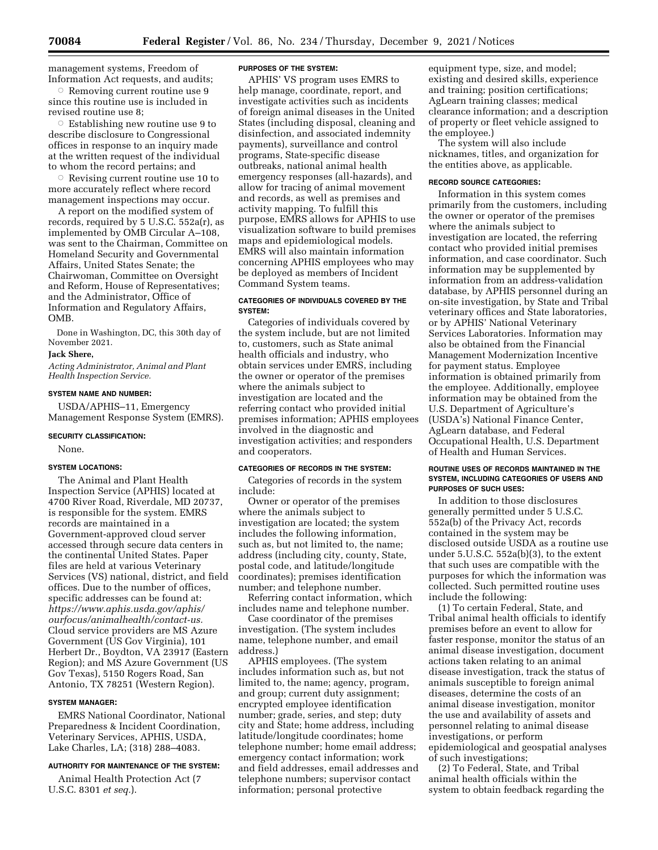management systems, Freedom of Information Act requests, and audits;

 $\circ$  Removing current routine use 9 since this routine use is included in revised routine use 8;

Æ Establishing new routine use 9 to describe disclosure to Congressional offices in response to an inquiry made at the written request of the individual to whom the record pertains; and

 $\circ$  Revising current routine use 10 to more accurately reflect where record management inspections may occur.

A report on the modified system of records, required by 5 U.S.C. 552a(r), as implemented by OMB Circular A–108, was sent to the Chairman, Committee on Homeland Security and Governmental Affairs, United States Senate; the Chairwoman, Committee on Oversight and Reform, House of Representatives; and the Administrator, Office of Information and Regulatory Affairs, OMB.

Done in Washington, DC, this 30th day of November 2021.

## **Jack Shere,**

*Acting Administrator, Animal and Plant Health Inspection Service.* 

## **SYSTEM NAME AND NUMBER:**

USDA/APHIS–11, Emergency Management Response System (EMRS).

#### **SECURITY CLASSIFICATION:**

None.

## **SYSTEM LOCATIONS:**

The Animal and Plant Health Inspection Service (APHIS) located at 4700 River Road, Riverdale, MD 20737, is responsible for the system. EMRS records are maintained in a Government-approved cloud server accessed through secure data centers in the continental United States. Paper files are held at various Veterinary Services (VS) national, district, and field offices. Due to the number of offices, specific addresses can be found at: *[https://www.aphis.usda.gov/aphis/](https://www.aphis.usda.gov/aphis/ourfocus/animalhealth/contact-us) [ourfocus/animalhealth/contact-us.](https://www.aphis.usda.gov/aphis/ourfocus/animalhealth/contact-us)*  Cloud service providers are MS Azure Government (US Gov Virginia), 101 Herbert Dr., Boydton, VA 23917 (Eastern Region); and MS Azure Government (US Gov Texas), 5150 Rogers Road, San Antonio, TX 78251 (Western Region).

## **SYSTEM MANAGER:**

EMRS National Coordinator, National Preparedness & Incident Coordination, Veterinary Services, APHIS, USDA, Lake Charles, LA; (318) 288–4083.

## **AUTHORITY FOR MAINTENANCE OF THE SYSTEM:**

Animal Health Protection Act (7 U.S.C. 8301 *et seq.*).

#### **PURPOSES OF THE SYSTEM:**

APHIS' VS program uses EMRS to help manage, coordinate, report, and investigate activities such as incidents of foreign animal diseases in the United States (including disposal, cleaning and disinfection, and associated indemnity payments), surveillance and control programs, State-specific disease outbreaks, national animal health emergency responses (all-hazards), and allow for tracing of animal movement and records, as well as premises and activity mapping. To fulfill this purpose, EMRS allows for APHIS to use visualization software to build premises maps and epidemiological models. EMRS will also maintain information concerning APHIS employees who may be deployed as members of Incident Command System teams.

## **CATEGORIES OF INDIVIDUALS COVERED BY THE SYSTEM:**

Categories of individuals covered by the system include, but are not limited to, customers, such as State animal health officials and industry, who obtain services under EMRS, including the owner or operator of the premises where the animals subject to investigation are located and the referring contact who provided initial premises information; APHIS employees involved in the diagnostic and investigation activities; and responders and cooperators.

## **CATEGORIES OF RECORDS IN THE SYSTEM:**

Categories of records in the system include:

Owner or operator of the premises where the animals subject to investigation are located; the system includes the following information, such as, but not limited to, the name; address (including city, county, State, postal code, and latitude/longitude coordinates); premises identification number; and telephone number.

Referring contact information, which includes name and telephone number.

Case coordinator of the premises investigation. (The system includes name, telephone number, and email address.)

APHIS employees. (The system includes information such as, but not limited to, the name; agency, program, and group; current duty assignment; encrypted employee identification number; grade, series, and step; duty city and State; home address, including latitude/longitude coordinates; home telephone number; home email address; emergency contact information; work and field addresses, email addresses and telephone numbers; supervisor contact information; personal protective

equipment type, size, and model; existing and desired skills, experience and training; position certifications; AgLearn training classes; medical clearance information; and a description of property or fleet vehicle assigned to the employee.)

The system will also include nicknames, titles, and organization for the entities above, as applicable.

### **RECORD SOURCE CATEGORIES:**

Information in this system comes primarily from the customers, including the owner or operator of the premises where the animals subject to investigation are located, the referring contact who provided initial premises information, and case coordinator. Such information may be supplemented by information from an address-validation database, by APHIS personnel during an on-site investigation, by State and Tribal veterinary offices and State laboratories, or by APHIS' National Veterinary Services Laboratories. Information may also be obtained from the Financial Management Modernization Incentive for payment status. Employee information is obtained primarily from the employee. Additionally, employee information may be obtained from the U.S. Department of Agriculture's (USDA's) National Finance Center, AgLearn database, and Federal Occupational Health, U.S. Department of Health and Human Services.

## **ROUTINE USES OF RECORDS MAINTAINED IN THE SYSTEM, INCLUDING CATEGORIES OF USERS AND PURPOSES OF SUCH USES:**

In addition to those disclosures generally permitted under 5 U.S.C. 552a(b) of the Privacy Act, records contained in the system may be disclosed outside USDA as a routine use under 5.U.S.C. 552a(b)(3), to the extent that such uses are compatible with the purposes for which the information was collected. Such permitted routine uses include the following:

(1) To certain Federal, State, and Tribal animal health officials to identify premises before an event to allow for faster response, monitor the status of an animal disease investigation, document actions taken relating to an animal disease investigation, track the status of animals susceptible to foreign animal diseases, determine the costs of an animal disease investigation, monitor the use and availability of assets and personnel relating to animal disease investigations, or perform epidemiological and geospatial analyses of such investigations;

(2) To Federal, State, and Tribal animal health officials within the system to obtain feedback regarding the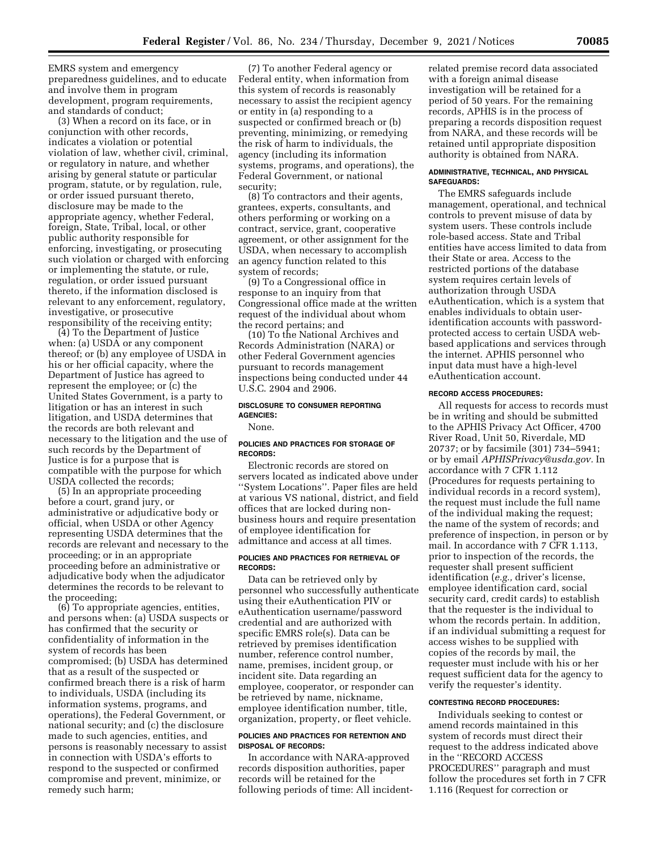EMRS system and emergency preparedness guidelines, and to educate and involve them in program development, program requirements, and standards of conduct;

(3) When a record on its face, or in conjunction with other records, indicates a violation or potential violation of law, whether civil, criminal, or regulatory in nature, and whether arising by general statute or particular program, statute, or by regulation, rule, or order issued pursuant thereto, disclosure may be made to the appropriate agency, whether Federal, foreign, State, Tribal, local, or other public authority responsible for enforcing, investigating, or prosecuting such violation or charged with enforcing or implementing the statute, or rule, regulation, or order issued pursuant thereto, if the information disclosed is relevant to any enforcement, regulatory, investigative, or prosecutive responsibility of the receiving entity;

(4) To the Department of Justice when: (a) USDA or any component thereof; or (b) any employee of USDA in his or her official capacity, where the Department of Justice has agreed to represent the employee; or (c) the United States Government, is a party to litigation or has an interest in such litigation, and USDA determines that the records are both relevant and necessary to the litigation and the use of such records by the Department of Justice is for a purpose that is compatible with the purpose for which USDA collected the records;

(5) In an appropriate proceeding before a court, grand jury, or administrative or adjudicative body or official, when USDA or other Agency representing USDA determines that the records are relevant and necessary to the proceeding; or in an appropriate proceeding before an administrative or adjudicative body when the adjudicator determines the records to be relevant to the proceeding;

(6) To appropriate agencies, entities, and persons when: (a) USDA suspects or has confirmed that the security or confidentiality of information in the system of records has been compromised; (b) USDA has determined that as a result of the suspected or confirmed breach there is a risk of harm to individuals, USDA (including its information systems, programs, and operations), the Federal Government, or national security; and (c) the disclosure made to such agencies, entities, and persons is reasonably necessary to assist in connection with USDA's efforts to respond to the suspected or confirmed compromise and prevent, minimize, or remedy such harm;

(7) To another Federal agency or Federal entity, when information from this system of records is reasonably necessary to assist the recipient agency or entity in (a) responding to a suspected or confirmed breach or (b) preventing, minimizing, or remedying the risk of harm to individuals, the agency (including its information systems, programs, and operations), the Federal Government, or national security;

(8) To contractors and their agents, grantees, experts, consultants, and others performing or working on a contract, service, grant, cooperative agreement, or other assignment for the USDA, when necessary to accomplish an agency function related to this system of records;

(9) To a Congressional office in response to an inquiry from that Congressional office made at the written request of the individual about whom the record pertains; and

(10) To the National Archives and Records Administration (NARA) or other Federal Government agencies pursuant to records management inspections being conducted under 44 U.S.C. 2904 and 2906.

## **DISCLOSURE TO CONSUMER REPORTING AGENCIES:**

#### None.

#### **POLICIES AND PRACTICES FOR STORAGE OF RECORDS:**

Electronic records are stored on servers located as indicated above under ''System Locations''. Paper files are held at various VS national, district, and field offices that are locked during nonbusiness hours and require presentation of employee identification for admittance and access at all times.

#### **POLICIES AND PRACTICES FOR RETRIEVAL OF RECORDS:**

Data can be retrieved only by personnel who successfully authenticate using their eAuthentication PIV or eAuthentication username/password credential and are authorized with specific EMRS role(s). Data can be retrieved by premises identification number, reference control number, name, premises, incident group, or incident site. Data regarding an employee, cooperator, or responder can be retrieved by name, nickname, employee identification number, title, organization, property, or fleet vehicle.

## **POLICIES AND PRACTICES FOR RETENTION AND DISPOSAL OF RECORDS:**

In accordance with NARA-approved records disposition authorities, paper records will be retained for the following periods of time: All incidentrelated premise record data associated with a foreign animal disease investigation will be retained for a period of 50 years. For the remaining records, APHIS is in the process of preparing a records disposition request from NARA, and these records will be retained until appropriate disposition authority is obtained from NARA.

### **ADMINISTRATIVE, TECHNICAL, AND PHYSICAL SAFEGUARDS:**

The EMRS safeguards include management, operational, and technical controls to prevent misuse of data by system users. These controls include role-based access. State and Tribal entities have access limited to data from their State or area. Access to the restricted portions of the database system requires certain levels of authorization through USDA eAuthentication, which is a system that enables individuals to obtain useridentification accounts with passwordprotected access to certain USDA webbased applications and services through the internet. APHIS personnel who input data must have a high-level eAuthentication account.

## **RECORD ACCESS PROCEDURES:**

All requests for access to records must be in writing and should be submitted to the APHIS Privacy Act Officer, 4700 River Road, Unit 50, Riverdale, MD 20737; or by facsimile (301) 734–5941; or by email *[APHISPrivacy@usda.gov.](mailto:APHISPrivacy@usda.gov)* In accordance with 7 CFR 1.112 (Procedures for requests pertaining to individual records in a record system), the request must include the full name of the individual making the request; the name of the system of records; and preference of inspection, in person or by mail. In accordance with 7 CFR 1.113, prior to inspection of the records, the requester shall present sufficient identification (*e.g.,* driver's license, employee identification card, social security card, credit cards) to establish that the requester is the individual to whom the records pertain. In addition, if an individual submitting a request for access wishes to be supplied with copies of the records by mail, the requester must include with his or her request sufficient data for the agency to verify the requester's identity.

## **CONTESTING RECORD PROCEDURES:**

Individuals seeking to contest or amend records maintained in this system of records must direct their request to the address indicated above in the ''RECORD ACCESS PROCEDURES'' paragraph and must follow the procedures set forth in 7 CFR 1.116 (Request for correction or